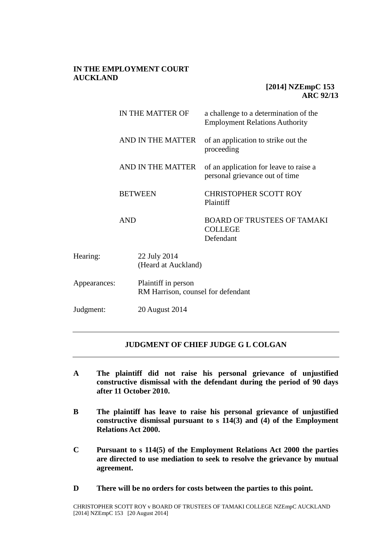## **IN THE EMPLOYMENT COURT AUCKLAND**

# **[2014] NZEmpC 153 ARC 92/13**

|              | IN THE MATTER OF                                          |                                     | a challenge to a determination of the<br><b>Employment Relations Authority</b> |
|--------------|-----------------------------------------------------------|-------------------------------------|--------------------------------------------------------------------------------|
|              | AND IN THE MATTER                                         |                                     | of an application to strike out the<br>proceeding                              |
|              | AND IN THE MATTER                                         |                                     | of an application for leave to raise a<br>personal grievance out of time       |
|              | <b>BETWEEN</b><br><b>AND</b>                              |                                     | <b>CHRISTOPHER SCOTT ROY</b><br>Plaintiff                                      |
|              |                                                           |                                     | <b>BOARD OF TRUSTEES OF TAMAKI</b><br><b>COLLEGE</b><br>Defendant              |
| Hearing:     |                                                           | 22 July 2014<br>(Heard at Auckland) |                                                                                |
| Appearances: | Plaintiff in person<br>RM Harrison, counsel for defendant |                                     |                                                                                |

Judgment: 20 August 2014

# **JUDGMENT OF CHIEF JUDGE G L COLGAN**

- **A The plaintiff did not raise his personal grievance of unjustified constructive dismissal with the defendant during the period of 90 days after 11 October 2010.**
- **B The plaintiff has leave to raise his personal grievance of unjustified constructive dismissal pursuant to s 114(3) and (4) of the Employment Relations Act 2000.**
- **C Pursuant to s 114(5) of the Employment Relations Act 2000 the parties are directed to use mediation to seek to resolve the grievance by mutual agreement.**
- **D There will be no orders for costs between the parties to this point.**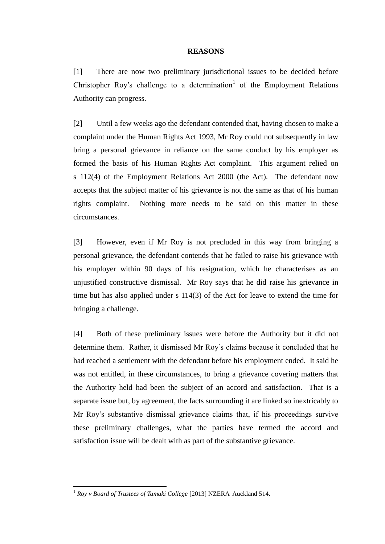### **REASONS**

[1] There are now two preliminary jurisdictional issues to be decided before Christopher Roy's challenge to a determination<sup>1</sup> of the Employment Relations Authority can progress.

[2] Until a few weeks ago the defendant contended that, having chosen to make a complaint under the Human Rights Act 1993, Mr Roy could not subsequently in law bring a personal grievance in reliance on the same conduct by his employer as formed the basis of his Human Rights Act complaint. This argument relied on s 112(4) of the Employment Relations Act 2000 (the Act). The defendant now accepts that the subject matter of his grievance is not the same as that of his human rights complaint. Nothing more needs to be said on this matter in these circumstances.

[3] However, even if Mr Roy is not precluded in this way from bringing a personal grievance, the defendant contends that he failed to raise his grievance with his employer within 90 days of his resignation, which he characterises as an unjustified constructive dismissal. Mr Roy says that he did raise his grievance in time but has also applied under s 114(3) of the Act for leave to extend the time for bringing a challenge.

[4] Both of these preliminary issues were before the Authority but it did not determine them. Rather, it dismissed Mr Roy's claims because it concluded that he had reached a settlement with the defendant before his employment ended. It said he was not entitled, in these circumstances, to bring a grievance covering matters that the Authority held had been the subject of an accord and satisfaction. That is a separate issue but, by agreement, the facts surrounding it are linked so inextricably to Mr Roy's substantive dismissal grievance claims that, if his proceedings survive these preliminary challenges, what the parties have termed the accord and satisfaction issue will be dealt with as part of the substantive grievance.

<sup>1</sup> *Roy v Board of Trustees of Tamaki College* [2013] NZERA Auckland 514.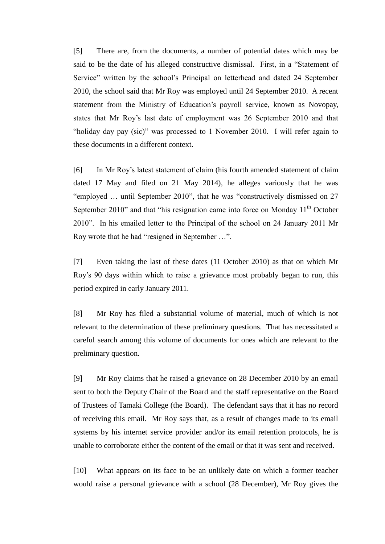[5] There are, from the documents, a number of potential dates which may be said to be the date of his alleged constructive dismissal. First, in a "Statement of Service" written by the school's Principal on letterhead and dated 24 September 2010, the school said that Mr Roy was employed until 24 September 2010. A recent statement from the Ministry of Education's payroll service, known as Novopay, states that Mr Roy's last date of employment was 26 September 2010 and that "holiday day pay (sic)" was processed to 1 November 2010. I will refer again to these documents in a different context.

[6] In Mr Roy's latest statement of claim (his fourth amended statement of claim dated 17 May and filed on 21 May 2014), he alleges variously that he was "employed … until September 2010", that he was "constructively dismissed on 27 September 2010" and that "his resignation came into force on Monday  $11<sup>th</sup>$  October 2010". In his emailed letter to the Principal of the school on 24 January 2011 Mr Roy wrote that he had "resigned in September …".

[7] Even taking the last of these dates (11 October 2010) as that on which Mr Roy's 90 days within which to raise a grievance most probably began to run, this period expired in early January 2011.

[8] Mr Roy has filed a substantial volume of material, much of which is not relevant to the determination of these preliminary questions. That has necessitated a careful search among this volume of documents for ones which are relevant to the preliminary question.

[9] Mr Roy claims that he raised a grievance on 28 December 2010 by an email sent to both the Deputy Chair of the Board and the staff representative on the Board of Trustees of Tamaki College (the Board). The defendant says that it has no record of receiving this email. Mr Roy says that, as a result of changes made to its email systems by his internet service provider and/or its email retention protocols, he is unable to corroborate either the content of the email or that it was sent and received.

[10] What appears on its face to be an unlikely date on which a former teacher would raise a personal grievance with a school (28 December), Mr Roy gives the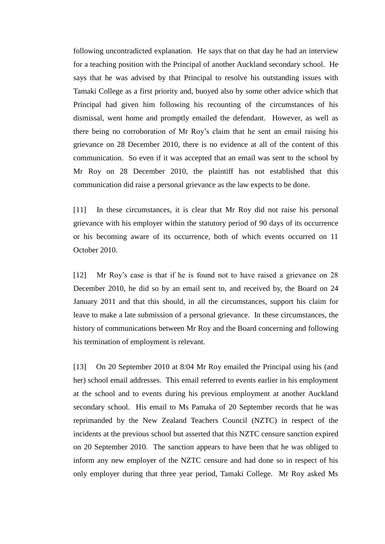following uncontradicted explanation. He says that on that day he had an interview for a teaching position with the Principal of another Auckland secondary school. He says that he was advised by that Principal to resolve his outstanding issues with Tamaki College as a first priority and, buoyed also by some other advice which that Principal had given him following his recounting of the circumstances of his dismissal, went home and promptly emailed the defendant. However, as well as there being no corroboration of Mr Roy's claim that he sent an email raising his grievance on 28 December 2010, there is no evidence at all of the content of this communication. So even if it was accepted that an email was sent to the school by Mr Roy on 28 December 2010, the plaintiff has not established that this communication did raise a personal grievance as the law expects to be done.

[11] In these circumstances, it is clear that Mr Roy did not raise his personal grievance with his employer within the statutory period of 90 days of its occurrence or his becoming aware of its occurrence, both of which events occurred on 11 October 2010.

[12] Mr Roy's case is that if he is found not to have raised a grievance on 28 December 2010, he did so by an email sent to, and received by, the Board on 24 January 2011 and that this should, in all the circumstances, support his claim for leave to make a late submission of a personal grievance. In these circumstances, the history of communications between Mr Roy and the Board concerning and following his termination of employment is relevant.

[13] On 20 September 2010 at 8:04 Mr Roy emailed the Principal using his (and her) school email addresses. This email referred to events earlier in his employment at the school and to events during his previous employment at another Auckland secondary school. His email to Ms Pamaka of 20 September records that he was reprimanded by the New Zealand Teachers Council (NZTC) in respect of the incidents at the previous school but asserted that this NZTC censure sanction expired on 20 September 2010. The sanction appears to have been that he was obliged to inform any new employer of the NZTC censure and had done so in respect of his only employer during that three year period, Tamaki College. Mr Roy asked Ms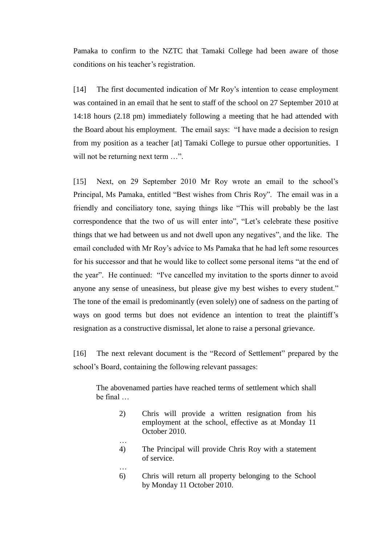Pamaka to confirm to the NZTC that Tamaki College had been aware of those conditions on his teacher's registration.

[14] The first documented indication of Mr Roy's intention to cease employment was contained in an email that he sent to staff of the school on 27 September 2010 at 14:18 hours (2.18 pm) immediately following a meeting that he had attended with the Board about his employment. The email says: "I have made a decision to resign from my position as a teacher [at] Tamaki College to pursue other opportunities. I will not be returning next term ...".

[15] Next, on 29 September 2010 Mr Roy wrote an email to the school's Principal, Ms Pamaka, entitled "Best wishes from Chris Roy". The email was in a friendly and conciliatory tone, saying things like "This will probably be the last correspondence that the two of us will enter into", "Let's celebrate these positive things that we had between us and not dwell upon any negatives", and the like. The email concluded with Mr Roy's advice to Ms Pamaka that he had left some resources for his successor and that he would like to collect some personal items "at the end of the year". He continued: "I've cancelled my invitation to the sports dinner to avoid anyone any sense of uneasiness, but please give my best wishes to every student." The tone of the email is predominantly (even solely) one of sadness on the parting of ways on good terms but does not evidence an intention to treat the plaintiff's resignation as a constructive dismissal, let alone to raise a personal grievance.

[16] The next relevant document is the "Record of Settlement" prepared by the school's Board, containing the following relevant passages:

The abovenamed parties have reached terms of settlement which shall be final …

…

…

- 2) Chris will provide a written resignation from his employment at the school, effective as at Monday 11 October 2010.
- 4) The Principal will provide Chris Roy with a statement of service.
- 6) Chris will return all property belonging to the School by Monday 11 October 2010.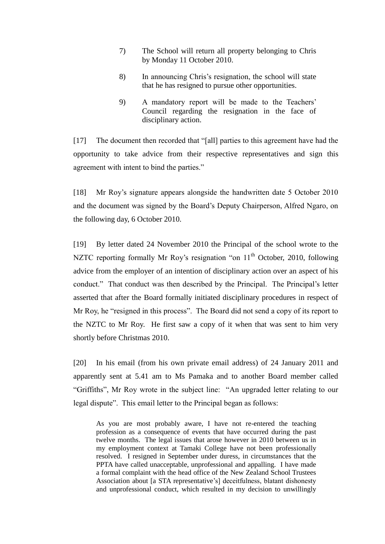- 7) The School will return all property belonging to Chris by Monday 11 October 2010.
- 8) In announcing Chris's resignation, the school will state that he has resigned to pursue other opportunities.
- 9) A mandatory report will be made to the Teachers' Council regarding the resignation in the face of disciplinary action.

[17] The document then recorded that "[all] parties to this agreement have had the opportunity to take advice from their respective representatives and sign this agreement with intent to bind the parties."

[18] Mr Roy's signature appears alongside the handwritten date 5 October 2010 and the document was signed by the Board's Deputy Chairperson, Alfred Ngaro, on the following day, 6 October 2010.

[19] By letter dated 24 November 2010 the Principal of the school wrote to the NZTC reporting formally Mr Roy's resignation "on  $11<sup>th</sup>$  October, 2010, following advice from the employer of an intention of disciplinary action over an aspect of his conduct." That conduct was then described by the Principal. The Principal's letter asserted that after the Board formally initiated disciplinary procedures in respect of Mr Roy, he "resigned in this process". The Board did not send a copy of its report to the NZTC to Mr Roy. He first saw a copy of it when that was sent to him very shortly before Christmas 2010.

[20] In his email (from his own private email address) of 24 January 2011 and apparently sent at 5.41 am to Ms Pamaka and to another Board member called "Griffiths", Mr Roy wrote in the subject line: "An upgraded letter relating to our legal dispute". This email letter to the Principal began as follows:

As you are most probably aware, I have not re-entered the teaching profession as a consequence of events that have occurred during the past twelve months. The legal issues that arose however in 2010 between us in my employment context at Tamaki College have not been professionally resolved. I resigned in September under duress, in circumstances that the PPTA have called unacceptable, unprofessional and appalling. I have made a formal complaint with the head office of the New Zealand School Trustees Association about [a STA representative's] deceitfulness, blatant dishonesty and unprofessional conduct, which resulted in my decision to unwillingly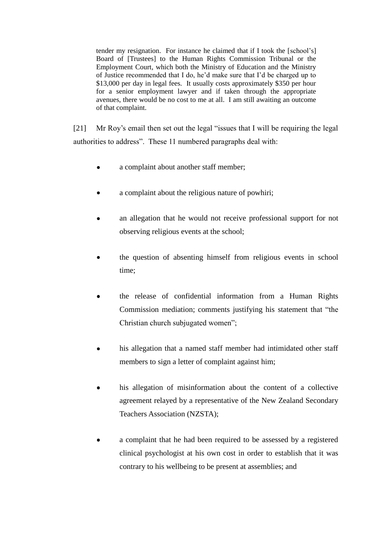tender my resignation. For instance he claimed that if I took the [school's] Board of [Trustees] to the Human Rights Commission Tribunal or the Employment Court, which both the Ministry of Education and the Ministry of Justice recommended that I do, he'd make sure that I'd be charged up to \$13,000 per day in legal fees. It usually costs approximately \$350 per hour for a senior employment lawyer and if taken through the appropriate avenues, there would be no cost to me at all. I am still awaiting an outcome of that complaint.

[21] Mr Roy's email then set out the legal "issues that I will be requiring the legal authorities to address". These 11 numbered paragraphs deal with:

- a complaint about another staff member;  $\bullet$
- a complaint about the religious nature of powhiri;
- an allegation that he would not receive professional support for not observing religious events at the school;
- the question of absenting himself from religious events in school time;
- the release of confidential information from a Human Rights Commission mediation; comments justifying his statement that "the Christian church subjugated women";
- his allegation that a named staff member had intimidated other staff members to sign a letter of complaint against him;
- his allegation of misinformation about the content of a collective agreement relayed by a representative of the New Zealand Secondary Teachers Association (NZSTA);
- a complaint that he had been required to be assessed by a registered clinical psychologist at his own cost in order to establish that it was contrary to his wellbeing to be present at assemblies; and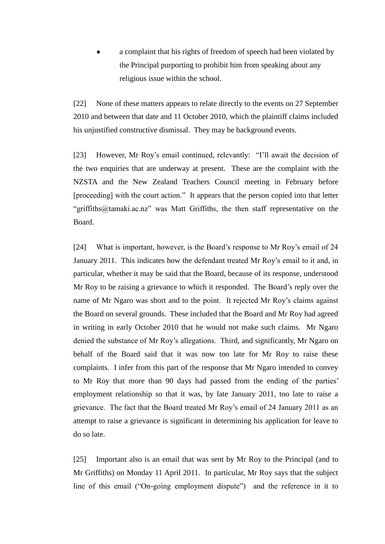a complaint that his rights of freedom of speech had been violated by the Principal purporting to prohibit him from speaking about any religious issue within the school.

[22] None of these matters appears to relate directly to the events on 27 September 2010 and between that date and 11 October 2010, which the plaintiff claims included his unjustified constructive dismissal. They may be background events.

[23] However, Mr Roy's email continued, relevantly: "I'll await the decision of the two enquiries that are underway at present. These are the complaint with the NZSTA and the New Zealand Teachers Council meeting in February before [proceeding] with the court action." It appears that the person copied into that letter "griffiths@tamaki.ac.nz" was Matt Griffiths, the then staff representative on the Board.

[24] What is important, however, is the Board's response to Mr Roy's email of 24 January 2011. This indicates how the defendant treated Mr Roy's email to it and, in particular, whether it may be said that the Board, because of its response, understood Mr Roy to be raising a grievance to which it responded. The Board's reply over the name of Mr Ngaro was short and to the point. It rejected Mr Roy's claims against the Board on several grounds. These included that the Board and Mr Roy had agreed in writing in early October 2010 that he would not make such claims. Mr Ngaro denied the substance of Mr Roy's allegations. Third, and significantly, Mr Ngaro on behalf of the Board said that it was now too late for Mr Roy to raise these complaints. I infer from this part of the response that Mr Ngaro intended to convey to Mr Roy that more than 90 days had passed from the ending of the parties' employment relationship so that it was, by late January 2011, too late to raise a grievance. The fact that the Board treated Mr Roy's email of 24 January 2011 as an attempt to raise a grievance is significant in determining his application for leave to do so late.

[25] Important also is an email that was sent by Mr Roy to the Principal (and to Mr Griffiths) on Monday 11 April 2011. In particular, Mr Roy says that the subject line of this email ("On-going employment dispute") and the reference in it to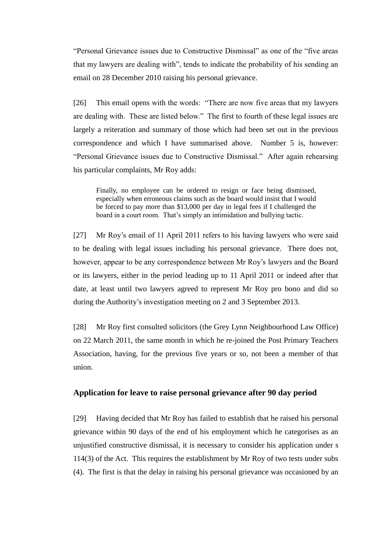"Personal Grievance issues due to Constructive Dismissal" as one of the "five areas that my lawyers are dealing with", tends to indicate the probability of his sending an email on 28 December 2010 raising his personal grievance.

[26] This email opens with the words: "There are now five areas that my lawyers are dealing with. These are listed below." The first to fourth of these legal issues are largely a reiteration and summary of those which had been set out in the previous correspondence and which I have summarised above. Number 5 is, however: "Personal Grievance issues due to Constructive Dismissal." After again rehearsing his particular complaints, Mr Roy adds:

Finally, no employee can be ordered to resign or face being dismissed, especially when erroneous claims such as the board would insist that I would be forced to pay more than \$13,000 per day in legal fees if I challenged the board in a court room. That's simply an intimidation and bullying tactic.

[27] Mr Roy's email of 11 April 2011 refers to his having lawyers who were said to be dealing with legal issues including his personal grievance. There does not, however, appear to be any correspondence between Mr Roy's lawyers and the Board or its lawyers, either in the period leading up to 11 April 2011 or indeed after that date, at least until two lawyers agreed to represent Mr Roy pro bono and did so during the Authority's investigation meeting on 2 and 3 September 2013.

[28] Mr Roy first consulted solicitors (the Grey Lynn Neighbourhood Law Office) on 22 March 2011, the same month in which he re-joined the Post Primary Teachers Association, having, for the previous five years or so, not been a member of that union.

## **Application for leave to raise personal grievance after 90 day period**

[29] Having decided that Mr Roy has failed to establish that he raised his personal grievance within 90 days of the end of his employment which he categorises as an unjustified constructive dismissal, it is necessary to consider his application under s 114(3) of the Act. This requires the establishment by Mr Roy of two tests under subs (4). The first is that the delay in raising his personal grievance was occasioned by an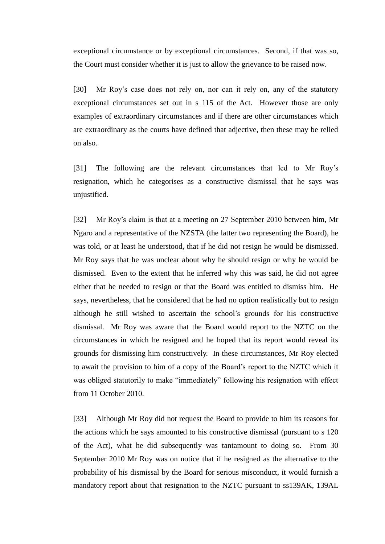exceptional circumstance or by exceptional circumstances. Second, if that was so, the Court must consider whether it is just to allow the grievance to be raised now.

[30] Mr Roy's case does not rely on, nor can it rely on, any of the statutory exceptional circumstances set out in s 115 of the Act. However those are only examples of extraordinary circumstances and if there are other circumstances which are extraordinary as the courts have defined that adjective, then these may be relied on also.

[31] The following are the relevant circumstances that led to Mr Roy's resignation, which he categorises as a constructive dismissal that he says was unjustified.

[32] Mr Roy's claim is that at a meeting on 27 September 2010 between him, Mr Ngaro and a representative of the NZSTA (the latter two representing the Board), he was told, or at least he understood, that if he did not resign he would be dismissed. Mr Roy says that he was unclear about why he should resign or why he would be dismissed. Even to the extent that he inferred why this was said, he did not agree either that he needed to resign or that the Board was entitled to dismiss him. He says, nevertheless, that he considered that he had no option realistically but to resign although he still wished to ascertain the school's grounds for his constructive dismissal. Mr Roy was aware that the Board would report to the NZTC on the circumstances in which he resigned and he hoped that its report would reveal its grounds for dismissing him constructively. In these circumstances, Mr Roy elected to await the provision to him of a copy of the Board's report to the NZTC which it was obliged statutorily to make "immediately" following his resignation with effect from 11 October 2010.

[33] Although Mr Roy did not request the Board to provide to him its reasons for the actions which he says amounted to his constructive dismissal (pursuant to s 120 of the Act), what he did subsequently was tantamount to doing so. From 30 September 2010 Mr Roy was on notice that if he resigned as the alternative to the probability of his dismissal by the Board for serious misconduct, it would furnish a mandatory report about that resignation to the NZTC pursuant to ss139AK, 139AL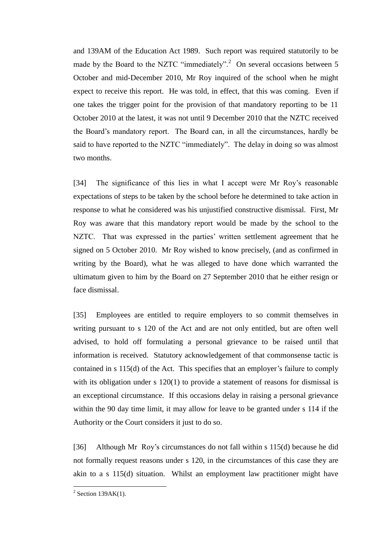and 139AM of the Education Act 1989. Such report was required statutorily to be made by the Board to the NZTC "immediately".<sup>2</sup> On several occasions between 5 October and mid-December 2010, Mr Roy inquired of the school when he might expect to receive this report. He was told, in effect, that this was coming. Even if one takes the trigger point for the provision of that mandatory reporting to be 11 October 2010 at the latest, it was not until 9 December 2010 that the NZTC received the Board's mandatory report. The Board can, in all the circumstances, hardly be said to have reported to the NZTC "immediately". The delay in doing so was almost two months.

[34] The significance of this lies in what I accept were Mr Roy's reasonable expectations of steps to be taken by the school before he determined to take action in response to what he considered was his unjustified constructive dismissal. First, Mr Roy was aware that this mandatory report would be made by the school to the NZTC. That was expressed in the parties' written settlement agreement that he signed on 5 October 2010. Mr Roy wished to know precisely, (and as confirmed in writing by the Board), what he was alleged to have done which warranted the ultimatum given to him by the Board on 27 September 2010 that he either resign or face dismissal.

[35] Employees are entitled to require employers to so commit themselves in writing pursuant to s 120 of the Act and are not only entitled, but are often well advised, to hold off formulating a personal grievance to be raised until that information is received. Statutory acknowledgement of that commonsense tactic is contained in s 115(d) of the Act. This specifies that an employer's failure to comply with its obligation under s 120(1) to provide a statement of reasons for dismissal is an exceptional circumstance. If this occasions delay in raising a personal grievance within the 90 day time limit, it may allow for leave to be granted under s 114 if the Authority or the Court considers it just to do so.

[36] Although Mr Roy's circumstances do not fall within s 115(d) because he did not formally request reasons under s 120, in the circumstances of this case they are akin to a s 115(d) situation. Whilst an employment law practitioner might have

 $\frac{1}{2}$  Section 139AK(1).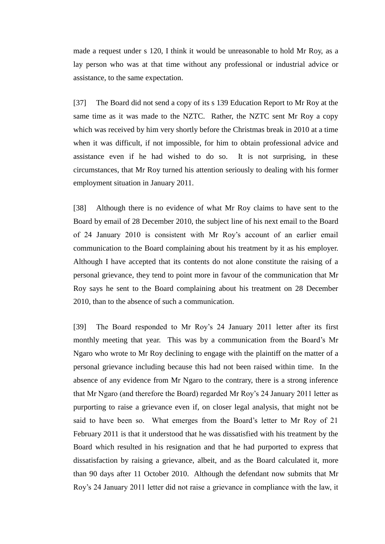made a request under s 120, I think it would be unreasonable to hold Mr Roy, as a lay person who was at that time without any professional or industrial advice or assistance, to the same expectation.

[37] The Board did not send a copy of its s 139 Education Report to Mr Roy at the same time as it was made to the NZTC. Rather, the NZTC sent Mr Roy a copy which was received by him very shortly before the Christmas break in 2010 at a time when it was difficult, if not impossible, for him to obtain professional advice and assistance even if he had wished to do so. It is not surprising, in these circumstances, that Mr Roy turned his attention seriously to dealing with his former employment situation in January 2011.

[38] Although there is no evidence of what Mr Roy claims to have sent to the Board by email of 28 December 2010, the subject line of his next email to the Board of 24 January 2010 is consistent with Mr Roy's account of an earlier email communication to the Board complaining about his treatment by it as his employer. Although I have accepted that its contents do not alone constitute the raising of a personal grievance, they tend to point more in favour of the communication that Mr Roy says he sent to the Board complaining about his treatment on 28 December 2010, than to the absence of such a communication.

[39] The Board responded to Mr Roy's 24 January 2011 letter after its first monthly meeting that year. This was by a communication from the Board's Mr Ngaro who wrote to Mr Roy declining to engage with the plaintiff on the matter of a personal grievance including because this had not been raised within time. In the absence of any evidence from Mr Ngaro to the contrary, there is a strong inference that Mr Ngaro (and therefore the Board) regarded Mr Roy's 24 January 2011 letter as purporting to raise a grievance even if, on closer legal analysis, that might not be said to have been so. What emerges from the Board's letter to Mr Roy of 21 February 2011 is that it understood that he was dissatisfied with his treatment by the Board which resulted in his resignation and that he had purported to express that dissatisfaction by raising a grievance, albeit, and as the Board calculated it, more than 90 days after 11 October 2010. Although the defendant now submits that Mr Roy's 24 January 2011 letter did not raise a grievance in compliance with the law, it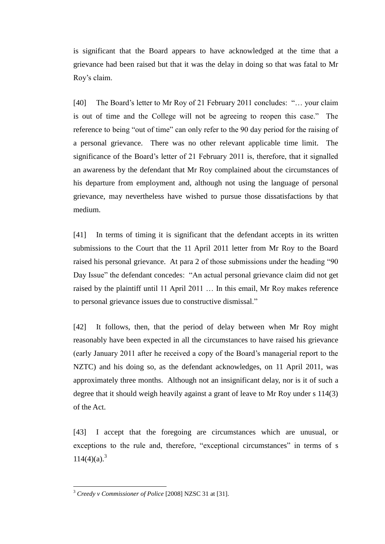is significant that the Board appears to have acknowledged at the time that a grievance had been raised but that it was the delay in doing so that was fatal to Mr Roy's claim.

[40] The Board's letter to Mr Roy of 21 February 2011 concludes: "... your claim is out of time and the College will not be agreeing to reopen this case." The reference to being "out of time" can only refer to the 90 day period for the raising of a personal grievance. There was no other relevant applicable time limit. The significance of the Board's letter of 21 February 2011 is, therefore, that it signalled an awareness by the defendant that Mr Roy complained about the circumstances of his departure from employment and, although not using the language of personal grievance, may nevertheless have wished to pursue those dissatisfactions by that medium.

[41] In terms of timing it is significant that the defendant accepts in its written submissions to the Court that the 11 April 2011 letter from Mr Roy to the Board raised his personal grievance. At para 2 of those submissions under the heading "90 Day Issue" the defendant concedes: "An actual personal grievance claim did not get raised by the plaintiff until 11 April 2011 … In this email, Mr Roy makes reference to personal grievance issues due to constructive dismissal."

[42] It follows, then, that the period of delay between when Mr Roy might reasonably have been expected in all the circumstances to have raised his grievance (early January 2011 after he received a copy of the Board's managerial report to the NZTC) and his doing so, as the defendant acknowledges, on 11 April 2011, was approximately three months. Although not an insignificant delay, nor is it of such a degree that it should weigh heavily against a grant of leave to Mr Roy under s 114(3) of the Act.

[43] I accept that the foregoing are circumstances which are unusual, or exceptions to the rule and, therefore, "exceptional circumstances" in terms of s  $114(4)(a)^{3}$ 

<sup>3</sup> *Creedy v Commissioner of Police* [2008] NZSC 31 at [31].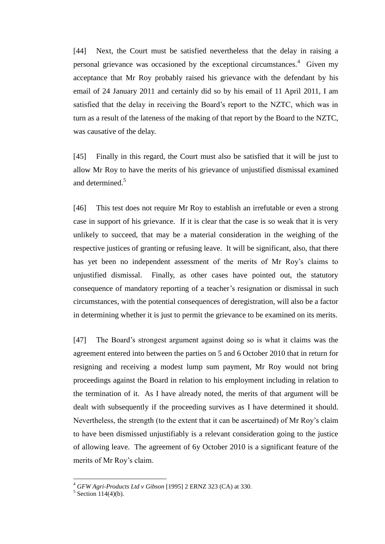[44] Next, the Court must be satisfied nevertheless that the delay in raising a personal grievance was occasioned by the exceptional circumstances.<sup>4</sup> Given my acceptance that Mr Roy probably raised his grievance with the defendant by his email of 24 January 2011 and certainly did so by his email of 11 April 2011, I am satisfied that the delay in receiving the Board's report to the NZTC, which was in turn as a result of the lateness of the making of that report by the Board to the NZTC, was causative of the delay.

[45] Finally in this regard, the Court must also be satisfied that it will be just to allow Mr Roy to have the merits of his grievance of unjustified dismissal examined and determined.<sup>5</sup>

[46] This test does not require Mr Roy to establish an irrefutable or even a strong case in support of his grievance. If it is clear that the case is so weak that it is very unlikely to succeed, that may be a material consideration in the weighing of the respective justices of granting or refusing leave. It will be significant, also, that there has yet been no independent assessment of the merits of Mr Roy's claims to unjustified dismissal. Finally, as other cases have pointed out, the statutory consequence of mandatory reporting of a teacher's resignation or dismissal in such circumstances, with the potential consequences of deregistration, will also be a factor in determining whether it is just to permit the grievance to be examined on its merits.

[47] The Board's strongest argument against doing so is what it claims was the agreement entered into between the parties on 5 and 6 October 2010 that in return for resigning and receiving a modest lump sum payment, Mr Roy would not bring proceedings against the Board in relation to his employment including in relation to the termination of it. As I have already noted, the merits of that argument will be dealt with subsequently if the proceeding survives as I have determined it should. Nevertheless, the strength (to the extent that it can be ascertained) of Mr Roy's claim to have been dismissed unjustifiably is a relevant consideration going to the justice of allowing leave. The agreement of 6y October 2010 is a significant feature of the merits of Mr Roy's claim.

<sup>4</sup> *GFW Agri-Products Ltd v Gibson* [1995] 2 ERNZ 323 (CA) at 330.

 $5$  Section 114(4)(b).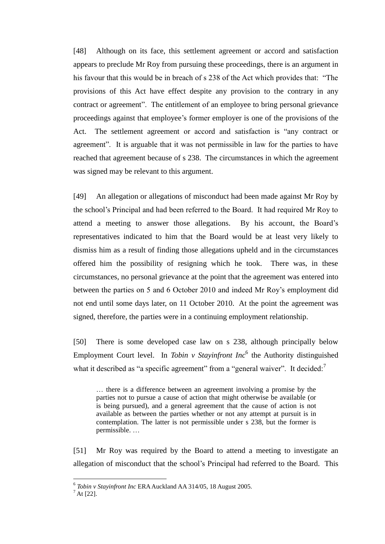[48] Although on its face, this settlement agreement or accord and satisfaction appears to preclude Mr Roy from pursuing these proceedings, there is an argument in his favour that this would be in breach of s 238 of the Act which provides that: "The provisions of this Act have effect despite any provision to the contrary in any contract or agreement". The entitlement of an employee to bring personal grievance proceedings against that employee's former employer is one of the provisions of the Act. The settlement agreement or accord and satisfaction is "any contract or agreement". It is arguable that it was not permissible in law for the parties to have reached that agreement because of s 238. The circumstances in which the agreement was signed may be relevant to this argument.

[49] An allegation or allegations of misconduct had been made against Mr Roy by the school's Principal and had been referred to the Board. It had required Mr Roy to attend a meeting to answer those allegations. By his account, the Board's representatives indicated to him that the Board would be at least very likely to dismiss him as a result of finding those allegations upheld and in the circumstances offered him the possibility of resigning which he took. There was, in these circumstances, no personal grievance at the point that the agreement was entered into between the parties on 5 and 6 October 2010 and indeed Mr Roy's employment did not end until some days later, on 11 October 2010. At the point the agreement was signed, therefore, the parties were in a continuing employment relationship.

[50] There is some developed case law on s 238, although principally below Employment Court level. In *Tobin v Stayinfront Inc*<sup>6</sup> the Authority distinguished what it described as "a specific agreement" from a "general waiver". It decided: $<sup>7</sup>$ </sup>

… there is a difference between an agreement involving a promise by the parties not to pursue a cause of action that might otherwise be available (or is being pursued), and a general agreement that the cause of action is not available as between the parties whether or not any attempt at pursuit is in contemplation. The latter is not permissible under s 238, but the former is permissible. …

[51] Mr Roy was required by the Board to attend a meeting to investigate an allegation of misconduct that the school's Principal had referred to the Board. This

<sup>6</sup> *Tobin v Stayinfront Inc* ERA Auckland AA 314/05, 18 August 2005.

 $^7$  At [22].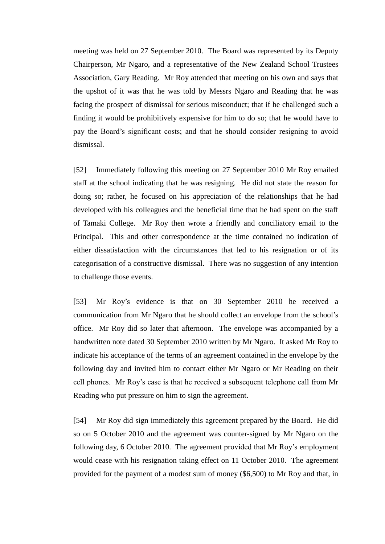meeting was held on 27 September 2010. The Board was represented by its Deputy Chairperson, Mr Ngaro, and a representative of the New Zealand School Trustees Association, Gary Reading. Mr Roy attended that meeting on his own and says that the upshot of it was that he was told by Messrs Ngaro and Reading that he was facing the prospect of dismissal for serious misconduct; that if he challenged such a finding it would be prohibitively expensive for him to do so; that he would have to pay the Board's significant costs; and that he should consider resigning to avoid dismissal.

[52] Immediately following this meeting on 27 September 2010 Mr Roy emailed staff at the school indicating that he was resigning. He did not state the reason for doing so; rather, he focused on his appreciation of the relationships that he had developed with his colleagues and the beneficial time that he had spent on the staff of Tamaki College. Mr Roy then wrote a friendly and conciliatory email to the Principal. This and other correspondence at the time contained no indication of either dissatisfaction with the circumstances that led to his resignation or of its categorisation of a constructive dismissal. There was no suggestion of any intention to challenge those events.

[53] Mr Roy's evidence is that on 30 September 2010 he received a communication from Mr Ngaro that he should collect an envelope from the school's office. Mr Roy did so later that afternoon. The envelope was accompanied by a handwritten note dated 30 September 2010 written by Mr Ngaro. It asked Mr Roy to indicate his acceptance of the terms of an agreement contained in the envelope by the following day and invited him to contact either Mr Ngaro or Mr Reading on their cell phones. Mr Roy's case is that he received a subsequent telephone call from Mr Reading who put pressure on him to sign the agreement.

[54] Mr Roy did sign immediately this agreement prepared by the Board. He did so on 5 October 2010 and the agreement was counter-signed by Mr Ngaro on the following day, 6 October 2010. The agreement provided that Mr Roy's employment would cease with his resignation taking effect on 11 October 2010. The agreement provided for the payment of a modest sum of money (\$6,500) to Mr Roy and that, in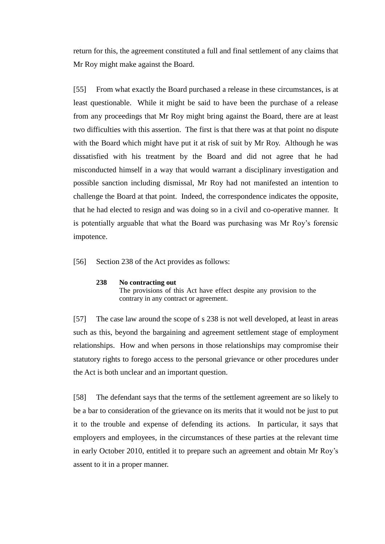return for this, the agreement constituted a full and final settlement of any claims that Mr Roy might make against the Board.

[55] From what exactly the Board purchased a release in these circumstances, is at least questionable. While it might be said to have been the purchase of a release from any proceedings that Mr Roy might bring against the Board, there are at least two difficulties with this assertion. The first is that there was at that point no dispute with the Board which might have put it at risk of suit by Mr Roy. Although he was dissatisfied with his treatment by the Board and did not agree that he had misconducted himself in a way that would warrant a disciplinary investigation and possible sanction including dismissal, Mr Roy had not manifested an intention to challenge the Board at that point. Indeed, the correspondence indicates the opposite, that he had elected to resign and was doing so in a civil and co-operative manner. It is potentially arguable that what the Board was purchasing was Mr Roy's forensic impotence.

[56] Section 238 of the Act provides as follows:

#### **238 No contracting out**

The provisions of this Act have effect despite any provision to the contrary in any contract or agreement.

[57] The case law around the scope of s 238 is not well developed, at least in areas such as this, beyond the bargaining and agreement settlement stage of employment relationships. How and when persons in those relationships may compromise their statutory rights to forego access to the personal grievance or other procedures under the Act is both unclear and an important question.

[58] The defendant says that the terms of the settlement agreement are so likely to be a bar to consideration of the grievance on its merits that it would not be just to put it to the trouble and expense of defending its actions. In particular, it says that employers and employees, in the circumstances of these parties at the relevant time in early October 2010, entitled it to prepare such an agreement and obtain Mr Roy's assent to it in a proper manner.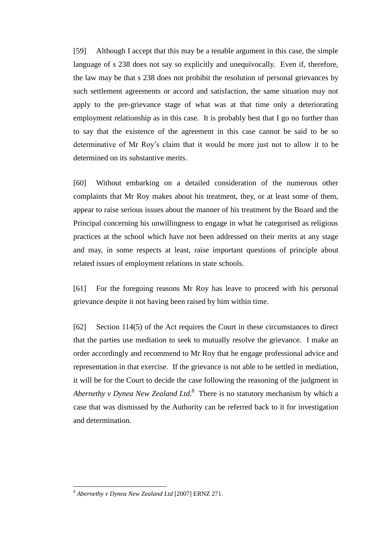[59] Although I accept that this may be a tenable argument in this case, the simple language of s 238 does not say so explicitly and unequivocally. Even if, therefore, the law may be that s 238 does not prohibit the resolution of personal grievances by such settlement agreements or accord and satisfaction, the same situation may not apply to the pre-grievance stage of what was at that time only a deteriorating employment relationship as in this case. It is probably best that I go no further than to say that the existence of the agreement in this case cannot be said to be so determinative of Mr Roy's claim that it would be more just not to allow it to be determined on its substantive merits.

[60] Without embarking on a detailed consideration of the numerous other complaints that Mr Roy makes about his treatment, they, or at least some of them, appear to raise serious issues about the manner of his treatment by the Board and the Principal concerning his unwillingness to engage in what he categorised as religious practices at the school which have not been addressed on their merits at any stage and may, in some respects at least, raise important questions of principle about related issues of employment relations in state schools.

[61] For the foregoing reasons Mr Roy has leave to proceed with his personal grievance despite it not having been raised by him within time.

[62] Section 114(5) of the Act requires the Court in these circumstances to direct that the parties use mediation to seek to mutually resolve the grievance. I make an order accordingly and recommend to Mr Roy that he engage professional advice and representation in that exercise. If the grievance is not able to be settled in mediation, it will be for the Court to decide the case following the reasoning of the judgment in *Abernethy v Dynea New Zealand Ltd*. 8 There is no statutory mechanism by which a case that was dismissed by the Authority can be referred back to it for investigation and determination.

<sup>8</sup> *Abernethy v Dynea New Zealand Ltd* [2007] ERNZ 271.